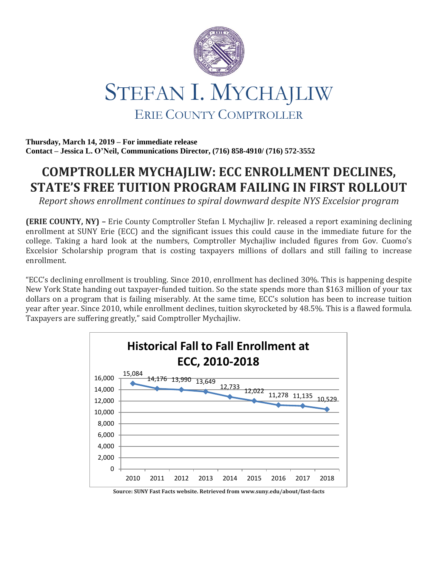

**Thursday, March 14, 2019 – For immediate release Contact – Jessica L. O'Neil, Communications Director, (716) 858-4910/ (716) 572-3552**

## **COMPTROLLER MYCHAJLIW: ECC ENROLLMENT DECLINES, STATE'S FREE TUITION PROGRAM FAILING IN FIRST ROLLOUT**

*Report shows enrollment continues to spiral downward despite NYS Excelsior program*

**(ERIE COUNTY, NY) –** Erie County Comptroller Stefan I. Mychajliw Jr. released a report examining declining enrollment at SUNY Erie (ECC) and the significant issues this could cause in the immediate future for the college. Taking a hard look at the numbers, Comptroller Mychajliw included figures from Gov. Cuomo's Excelsior Scholarship program that is costing taxpayers millions of dollars and still failing to increase enrollment.

"ECC's declining enrollment is troubling. Since 2010, enrollment has declined 30%. This is happening despite New York State handing out taxpayer-funded tuition. So the state spends more than \$163 million of your tax dollars on a program that is failing miserably. At the same time, ECC's solution has been to increase tuition year after year. Since 2010, while enrollment declines, tuition skyrocketed by 48.5%. This is a flawed formula. Taxpayers are suffering greatly," said Comptroller Mychajliw.



**Source: SUNY Fast Facts website. Retrieved from www.suny.edu/about/fast-facts**